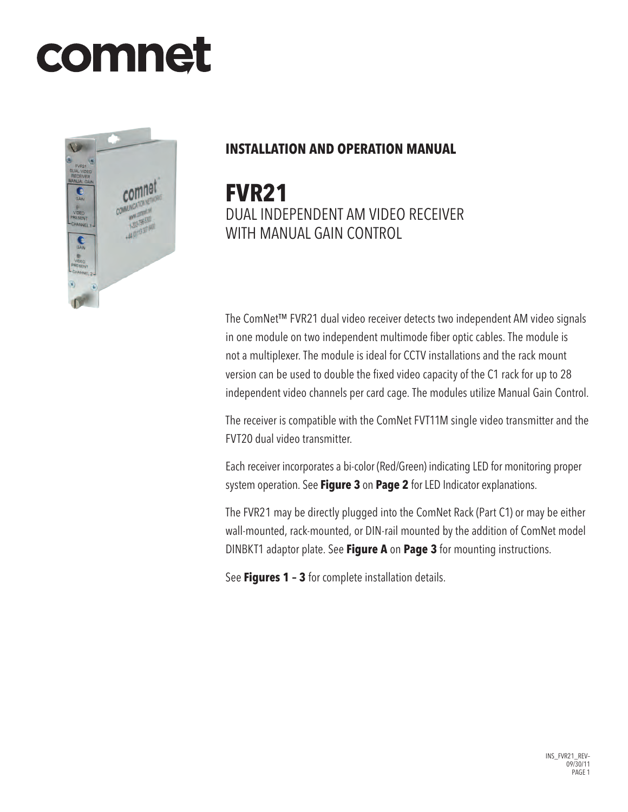# comnet



# **INSTALLATION AND OPERATION MANUAL**

**FVR21** Dual Independent AM Video Receiver with Manual Gain Control

The ComNet™ FVR21 dual video receiver detects two independent AM video signals in one module on two independent multimode fiber optic cables. The module is not a multiplexer. The module is ideal for CCTV installations and the rack mount version can be used to double the fixed video capacity of the C1 rack for up to 28 independent video channels per card cage. The modules utilize Manual Gain Control.

The receiver is compatible with the ComNet FVT11M single video transmitter and the FVT20 dual video transmitter.

Each receiver incorporates a bi-color (Red/Green) indicating LED for monitoring proper system operation. See **Figure 3** on **Page 2** for LED Indicator explanations.

The FVR21 may be directly plugged into the ComNet Rack (Part C1) or may be either wall-mounted, rack-mounted, or DIN-rail mounted by the addition of ComNet model DINBKT1 adaptor plate. See **Figure A** on **Page 3** for mounting instructions.

See **Figures 1 – 3** for complete installation details.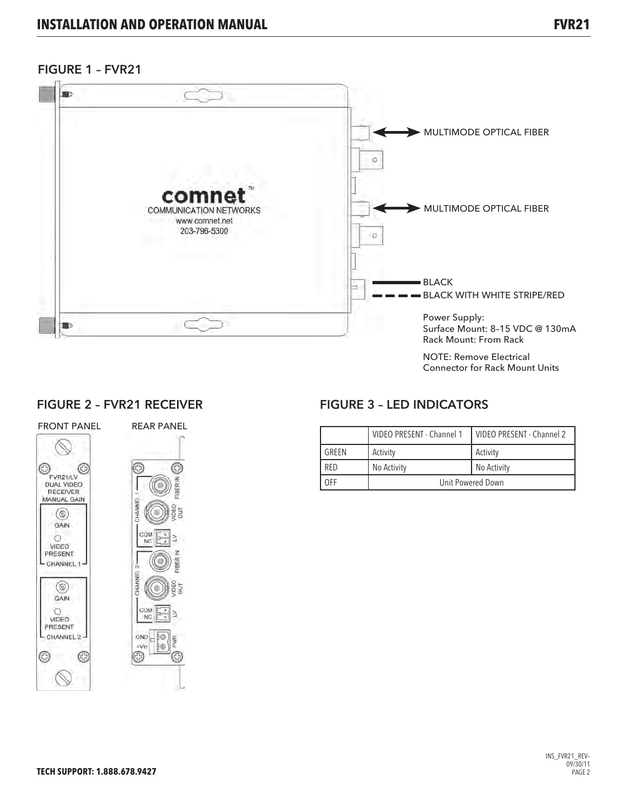## FIGURE 1 – FVR21



## FIGURE 2 – FVR21 RECEIVER



## FIGURE 3 – LED INDICATORS

|            | VIDEO PRESENT - Channel 1 | VIDEO PRESENT - Channel 2 |
|------------|---------------------------|---------------------------|
| GRFFN      | Activity                  | Activity                  |
| <b>RFD</b> | No Activity               | No Activity               |
| OFF        | Unit Powered Down         |                           |

Connector for Rack Mount Units